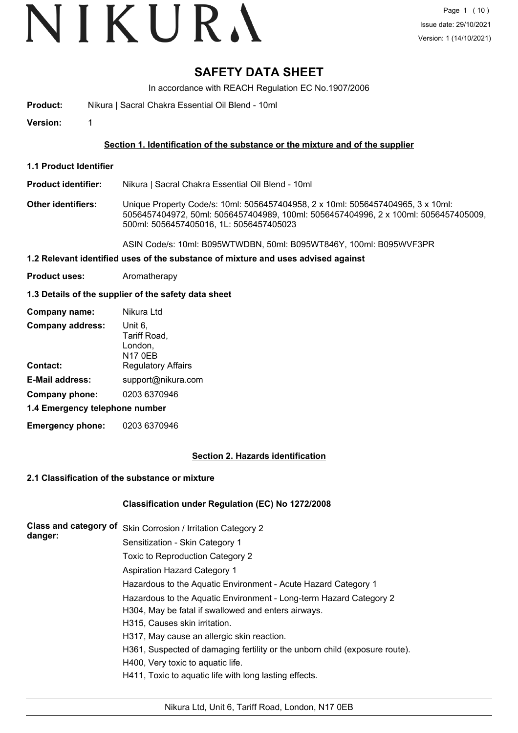# VIKURA

# **SAFETY DATA SHEET**

In accordance with REACH Regulation EC No.1907/2006

**Product:** Nikura | Sacral Chakra Essential Oil Blend - 10ml

**Version:** 1

# **Section 1. Identification of the substance or the mixture and of the supplier**

**1.1 Product Identifier**

**Product identifier:** Nikura | Sacral Chakra Essential Oil Blend - 10ml

**Other identifiers:** Unique Property Code/s: 10ml: 5056457404958, 2 x 10ml: 5056457404965, 3 x 10ml: 5056457404972, 50ml: 5056457404989, 100ml: 5056457404996, 2 x 100ml: 5056457405009, 500ml: 5056457405016, 1L: 5056457405023

ASIN Code/s: 10ml: B095WTWDBN, 50ml: B095WT846Y, 100ml: B095WVF3PR

# **1.2 Relevant identified uses of the substance of mixture and uses advised against**

**Product uses:** Aromatherapy

# **1.3 Details of the supplier of the safety data sheet**

| Company name:                  | Nikura Ltd                                           |
|--------------------------------|------------------------------------------------------|
| <b>Company address:</b>        | Unit 6,<br>Tariff Road,<br>London,<br><b>N17 0EB</b> |
| Contact:                       | <b>Regulatory Affairs</b>                            |
| <b>E-Mail address:</b>         | support@nikura.com                                   |
| Company phone:                 | 0203 6370946                                         |
| 1.4 Emergency telephone number |                                                      |
|                                |                                                      |

**Emergency phone:** 0203 6370946

# **Section 2. Hazards identification**

# **2.1 Classification of the substance or mixture**

# **Classification under Regulation (EC) No 1272/2008**

| Class and category of<br>danger: | Skin Corrosion / Irritation Category 2                                      |
|----------------------------------|-----------------------------------------------------------------------------|
|                                  | Sensitization - Skin Category 1                                             |
|                                  | Toxic to Reproduction Category 2                                            |
|                                  | <b>Aspiration Hazard Category 1</b>                                         |
|                                  | Hazardous to the Aquatic Environment - Acute Hazard Category 1              |
|                                  | Hazardous to the Aquatic Environment - Long-term Hazard Category 2          |
|                                  | H304, May be fatal if swallowed and enters airways.                         |
|                                  | H315, Causes skin irritation.                                               |
|                                  | H317, May cause an allergic skin reaction.                                  |
|                                  | H361, Suspected of damaging fertility or the unborn child (exposure route). |
|                                  | H400, Very toxic to aquatic life.                                           |
|                                  | H411, Toxic to aquatic life with long lasting effects.                      |
|                                  |                                                                             |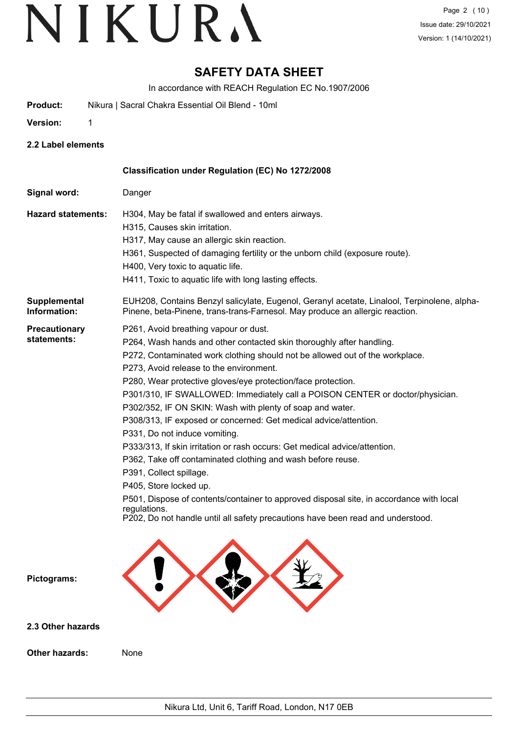# **SAFETY DATA SHEET**

In accordance with REACH Regulation EC No.1907/2006

**Product:** Nikura | Sacral Chakra Essential Oil Blend - 10ml

**Version:** 1

**2.2 Label elements**

|                                     | Classification under Regulation (EC) No 1272/2008                                                                                                                                                                                                                                                                                                                                                                                                                                                                                                                                                                                                                                                                                                                                                                                                                                                                                                           |
|-------------------------------------|-------------------------------------------------------------------------------------------------------------------------------------------------------------------------------------------------------------------------------------------------------------------------------------------------------------------------------------------------------------------------------------------------------------------------------------------------------------------------------------------------------------------------------------------------------------------------------------------------------------------------------------------------------------------------------------------------------------------------------------------------------------------------------------------------------------------------------------------------------------------------------------------------------------------------------------------------------------|
| Signal word:                        | Danger                                                                                                                                                                                                                                                                                                                                                                                                                                                                                                                                                                                                                                                                                                                                                                                                                                                                                                                                                      |
| <b>Hazard statements:</b>           | H304, May be fatal if swallowed and enters airways.<br>H315, Causes skin irritation.<br>H317, May cause an allergic skin reaction.<br>H361, Suspected of damaging fertility or the unborn child (exposure route).<br>H400, Very toxic to aquatic life.<br>H411, Toxic to aquatic life with long lasting effects.                                                                                                                                                                                                                                                                                                                                                                                                                                                                                                                                                                                                                                            |
| <b>Supplemental</b><br>Information: | EUH208, Contains Benzyl salicylate, Eugenol, Geranyl acetate, Linalool, Terpinolene, alpha-<br>Pinene, beta-Pinene, trans-trans-Farnesol. May produce an allergic reaction.                                                                                                                                                                                                                                                                                                                                                                                                                                                                                                                                                                                                                                                                                                                                                                                 |
| Precautionary<br>statements:        | P261, Avoid breathing vapour or dust.<br>P264, Wash hands and other contacted skin thoroughly after handling.<br>P272, Contaminated work clothing should not be allowed out of the workplace.<br>P273, Avoid release to the environment.<br>P280, Wear protective gloves/eye protection/face protection.<br>P301/310, IF SWALLOWED: Immediately call a POISON CENTER or doctor/physician.<br>P302/352, IF ON SKIN: Wash with plenty of soap and water.<br>P308/313, IF exposed or concerned: Get medical advice/attention.<br>P331, Do not induce vomiting.<br>P333/313, If skin irritation or rash occurs: Get medical advice/attention.<br>P362, Take off contaminated clothing and wash before reuse.<br>P391, Collect spillage.<br>P405, Store locked up.<br>P501, Dispose of contents/container to approved disposal site, in accordance with local<br>regulations.<br>P202, Do not handle until all safety precautions have been read and understood. |
| Pictograms:                         |                                                                                                                                                                                                                                                                                                                                                                                                                                                                                                                                                                                                                                                                                                                                                                                                                                                                                                                                                             |
| 2.3 Other hazards                   |                                                                                                                                                                                                                                                                                                                                                                                                                                                                                                                                                                                                                                                                                                                                                                                                                                                                                                                                                             |

**Other hazards:** None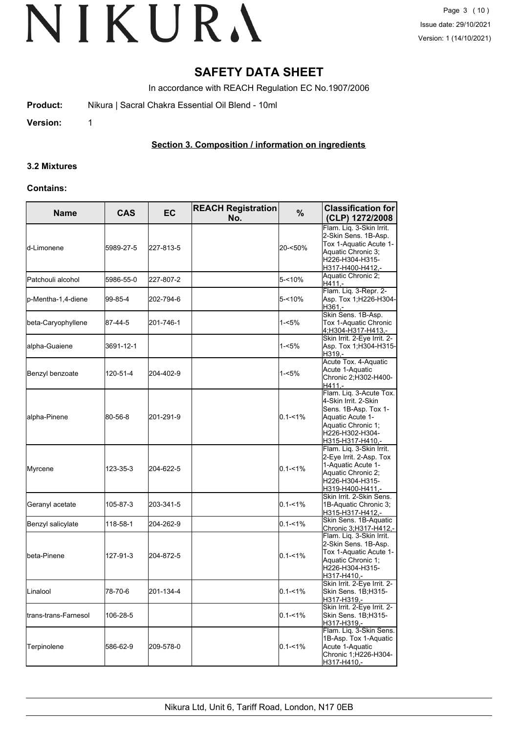# **SAFETY DATA SHEET**

In accordance with REACH Regulation EC No.1907/2006

**Product:** Nikura | Sacral Chakra Essential Oil Blend - 10ml

**Version:** 1

# **Section 3. Composition / information on ingredients**

# **3.2 Mixtures**

# **Contains:**

| <b>Name</b>          | <b>CAS</b> | <b>EC</b> | <b>REACH Registration</b><br>No. | %           | <b>Classification for</b><br>(CLP) 1272/2008                                                                                                             |
|----------------------|------------|-----------|----------------------------------|-------------|----------------------------------------------------------------------------------------------------------------------------------------------------------|
| d-Limonene           | 5989-27-5  | 227-813-5 |                                  | 20-<50%     | Flam. Liq. 3-Skin Irrit.<br>2-Skin Sens. 1B-Asp.<br>Tox 1-Aquatic Acute 1-<br>Aquatic Chronic 3;<br>H226-H304-H315-<br>H317-H400-H412,-                  |
| Patchouli alcohol    | 5986-55-0  | 227-807-2 |                                  | 5-<10%      | Aquatic Chronic 2;<br>$H411. -$                                                                                                                          |
| p-Mentha-1,4-diene   | 99-85-4    | 202-794-6 |                                  | 5-<10%      | Flam. Liq. 3-Repr. 2-<br>Asp. Tox 1; H226-H304-<br>H361,-                                                                                                |
| beta-Caryophyllene   | 87-44-5    | 201-746-1 |                                  | 1-<5%       | Skin Sens. 1B-Asp.<br>Tox 1-Aquatic Chronic<br>4;H304-H317-H413,-                                                                                        |
| alpha-Guaiene        | 3691-12-1  |           |                                  | 1-<5%       | Skin Irrit. 2-Eye Irrit. 2-<br>Asp. Tox 1; H304-H315-<br>H319,-                                                                                          |
| Benzyl benzoate      | 120-51-4   | 204-402-9 |                                  | 1-<5%       | Acute Tox. 4-Aquatic<br>Acute 1-Aquatic<br>Chronic 2; H302-H400-<br>H411,-                                                                               |
| alpha-Pinene         | 80-56-8    | 201-291-9 |                                  | $0.1 - 1\%$ | Flam. Liq. 3-Acute Tox.<br>4-Skin Irrit. 2-Skin<br>Sens. 1B-Asp. Tox 1-<br>Aquatic Acute 1-<br>Aquatic Chronic 1;<br>H226-H302-H304-<br>H315-H317-H410,- |
| Myrcene              | 123-35-3   | 204-622-5 |                                  | $0.1 - 1\%$ | Flam. Liq. 3-Skin Irrit.<br>2-Eye Irrit. 2-Asp. Tox<br>1-Aquatic Acute 1-<br>Aquatic Chronic 2;<br>H226-H304-H315-<br>H319-H400-H411,-                   |
| Geranyl acetate      | 105-87-3   | 203-341-5 |                                  | $0.1 - 1\%$ | Skin Irrit. 2-Skin Sens.<br>1B-Aquatic Chronic 3;<br>H315-H317-H412,-                                                                                    |
| Benzyl salicylate    | 118-58-1   | 204-262-9 |                                  | $0.1 - 1\%$ | Skin Sens. 1B-Aquatic<br>Chronic 3; H317-H412,-                                                                                                          |
| beta-Pinene          | 127-91-3   | 204-872-5 |                                  | $0.1 - 1\%$ | Flam. Liq. 3-Skin Irrit.<br>2-Skin Sens. 1B-Asp.<br>Tox 1-Aquatic Acute 1-<br>Aquatic Chronic 1;<br>H226-H304-H315-<br>H317-H410,-                       |
| Linalool             | 78-70-6    | 201-134-4 |                                  | $0.1 - 1%$  | Skin Irrit. 2-Eye Irrit. 2-<br>Skin Sens. 1B;H315-<br>H317-H319,-                                                                                        |
| trans-trans-Farnesol | 106-28-5   |           |                                  | $0.1 - 1\%$ | Skin Irrit. 2-Eye Irrit. 2-<br>Skin Sens. 1B;H315-<br>H317-H319,-                                                                                        |
| Terpinolene          | 586-62-9   | 209-578-0 |                                  | $0.1 - 1\%$ | Flam. Liq. 3-Skin Sens.<br>1B-Asp. Tox 1-Aquatic<br>Acute 1-Aquatic<br>Chronic 1;H226-H304-<br>H317-H410,-                                               |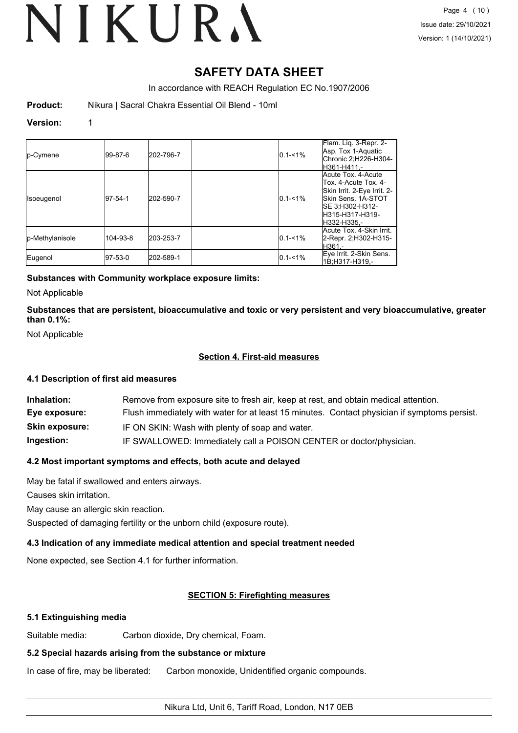# **SAFETY DATA SHEET**

In accordance with REACH Regulation EC No.1907/2006

**Product:** Nikura | Sacral Chakra Essential Oil Blend - 10ml

# **Version:** 1

| <b>Ip-Cymene</b>  | 199-87-6    | 202-796-7 | $0.1 - 1\%$ | Flam. Lig. 3-Repr. 2-<br>Asp. Tox 1-Aquatic<br>Chronic 2;H226-H304-<br>lH361-H411.-                                                                     |
|-------------------|-------------|-----------|-------------|---------------------------------------------------------------------------------------------------------------------------------------------------------|
| <b>Isoeugenol</b> | $ 97-54-1 $ | 202-590-7 | $0.1 - 1\%$ | Acute Tox. 4-Acute<br>Tox, 4-Acute Tox, 4-<br>Skin Irrit. 2-Eye Irrit. 2-<br>lSkin Sens. 1A-STOT<br>ISE 3:H302-H312-<br>lH315-H317-H319-<br>H332-H335.- |
| p-Methylanisole   | 104-93-8    | 203-253-7 | $0.1 - 1\%$ | Acute Tox. 4-Skin Irrit.<br>2-Repr. 2;H302-H315-<br>H361.-                                                                                              |
| Eugenol           | 97-53-0     | 202-589-1 | $0.1 - 1\%$ | Eye Irrit. 2-Skin Sens.<br>1B:H317-H319 -                                                                                                               |

# **Substances with Community workplace exposure limits:**

Not Applicable

**Substances that are persistent, bioaccumulative and toxic or very persistent and very bioaccumulative, greater than 0.1%:**

Not Applicable

# **Section 4. First-aid measures**

# **4.1 Description of first aid measures**

| Inhalation:           | Remove from exposure site to fresh air, keep at rest, and obtain medical attention.          |
|-----------------------|----------------------------------------------------------------------------------------------|
| Eye exposure:         | Flush immediately with water for at least 15 minutes. Contact physician if symptoms persist. |
| <b>Skin exposure:</b> | IF ON SKIN: Wash with plenty of soap and water.                                              |
| Ingestion:            | IF SWALLOWED: Immediately call a POISON CENTER or doctor/physician.                          |

# **4.2 Most important symptoms and effects, both acute and delayed**

May be fatal if swallowed and enters airways.

Causes skin irritation.

May cause an allergic skin reaction.

Suspected of damaging fertility or the unborn child (exposure route).

# **4.3 Indication of any immediate medical attention and special treatment needed**

None expected, see Section 4.1 for further information.

# **SECTION 5: Firefighting measures**

# **5.1 Extinguishing media**

Suitable media: Carbon dioxide, Dry chemical, Foam.

# **5.2 Special hazards arising from the substance or mixture**

In case of fire, may be liberated: Carbon monoxide, Unidentified organic compounds.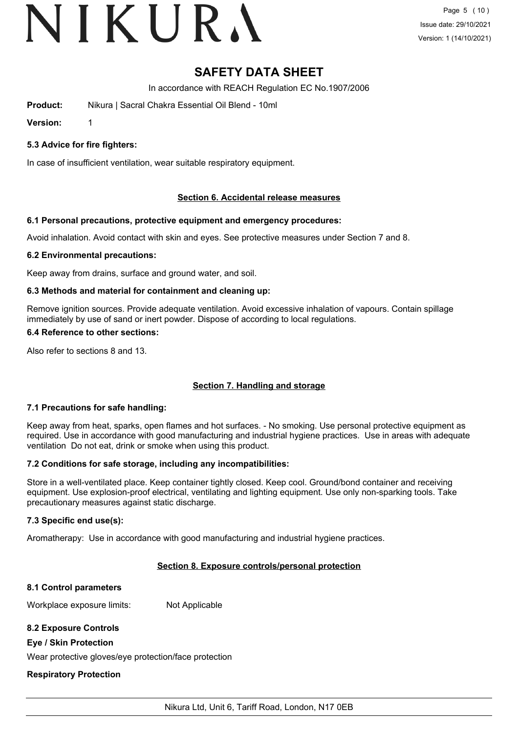# VIKURA

# **SAFETY DATA SHEET**

In accordance with REACH Regulation EC No.1907/2006

**Product:** Nikura | Sacral Chakra Essential Oil Blend - 10ml

**Version:** 1

**5.3 Advice for fire fighters:**

In case of insufficient ventilation, wear suitable respiratory equipment.

# **Section 6. Accidental release measures**

# **6.1 Personal precautions, protective equipment and emergency procedures:**

Avoid inhalation. Avoid contact with skin and eyes. See protective measures under Section 7 and 8.

# **6.2 Environmental precautions:**

Keep away from drains, surface and ground water, and soil.

# **6.3 Methods and material for containment and cleaning up:**

Remove ignition sources. Provide adequate ventilation. Avoid excessive inhalation of vapours. Contain spillage immediately by use of sand or inert powder. Dispose of according to local regulations.

# **6.4 Reference to other sections:**

Also refer to sections 8 and 13.

# **Section 7. Handling and storage**

# **7.1 Precautions for safe handling:**

Keep away from heat, sparks, open flames and hot surfaces. - No smoking. Use personal protective equipment as required. Use in accordance with good manufacturing and industrial hygiene practices. Use in areas with adequate ventilation Do not eat, drink or smoke when using this product.

# **7.2 Conditions for safe storage, including any incompatibilities:**

Store in a well-ventilated place. Keep container tightly closed. Keep cool. Ground/bond container and receiving equipment. Use explosion-proof electrical, ventilating and lighting equipment. Use only non-sparking tools. Take precautionary measures against static discharge.

# **7.3 Specific end use(s):**

Aromatherapy: Use in accordance with good manufacturing and industrial hygiene practices.

# **Section 8. Exposure controls/personal protection**

# **8.1 Control parameters**

Workplace exposure limits: Not Applicable

# **8.2 Exposure Controls**

# **Eye / Skin Protection**

Wear protective gloves/eye protection/face protection

# **Respiratory Protection**

Nikura Ltd, Unit 6, Tariff Road, London, N17 0EB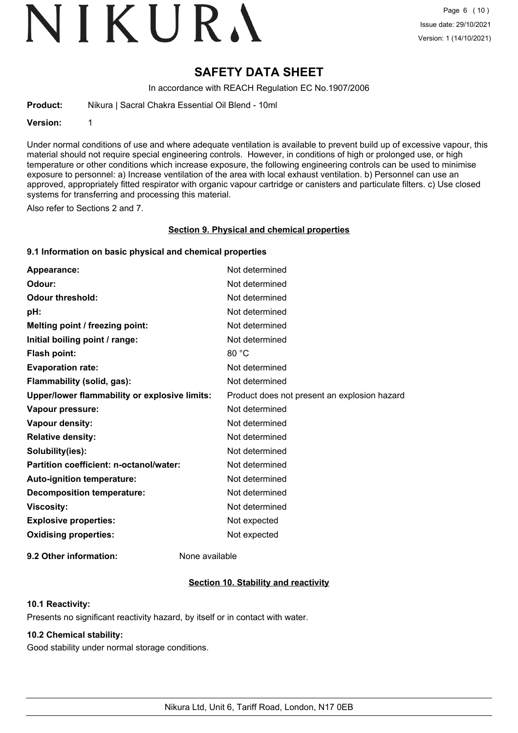# VIKURA

# **SAFETY DATA SHEET**

In accordance with REACH Regulation EC No.1907/2006

**Product:** Nikura | Sacral Chakra Essential Oil Blend - 10ml

### **Version:** 1

Under normal conditions of use and where adequate ventilation is available to prevent build up of excessive vapour, this material should not require special engineering controls. However, in conditions of high or prolonged use, or high temperature or other conditions which increase exposure, the following engineering controls can be used to minimise exposure to personnel: a) Increase ventilation of the area with local exhaust ventilation. b) Personnel can use an approved, appropriately fitted respirator with organic vapour cartridge or canisters and particulate filters. c) Use closed systems for transferring and processing this material.

Also refer to Sections 2 and 7.

### **Section 9. Physical and chemical properties**

# **9.1 Information on basic physical and chemical properties**

| Appearance:                                   | Not determined                               |
|-----------------------------------------------|----------------------------------------------|
| Odour:                                        | Not determined                               |
| <b>Odour threshold:</b>                       | Not determined                               |
| pH:                                           | Not determined                               |
| Melting point / freezing point:               | Not determined                               |
| Initial boiling point / range:                | Not determined                               |
| <b>Flash point:</b>                           | 80 °C                                        |
| <b>Evaporation rate:</b>                      | Not determined                               |
| Flammability (solid, gas):                    | Not determined                               |
| Upper/lower flammability or explosive limits: | Product does not present an explosion hazard |
| Vapour pressure:                              | Not determined                               |
| Vapour density:                               | Not determined                               |
| <b>Relative density:</b>                      | Not determined                               |
| Solubility(ies):                              | Not determined                               |
| Partition coefficient: n-octanol/water:       | Not determined                               |
| Auto-ignition temperature:                    | Not determined                               |
| <b>Decomposition temperature:</b>             | Not determined                               |
| <b>Viscosity:</b>                             | Not determined                               |
| <b>Explosive properties:</b>                  | Not expected                                 |
| <b>Oxidising properties:</b>                  | Not expected                                 |
|                                               |                                              |

**9.2 Other information:** None available

# **Section 10. Stability and reactivity**

# **10.1 Reactivity:**

Presents no significant reactivity hazard, by itself or in contact with water.

# **10.2 Chemical stability:**

Good stability under normal storage conditions.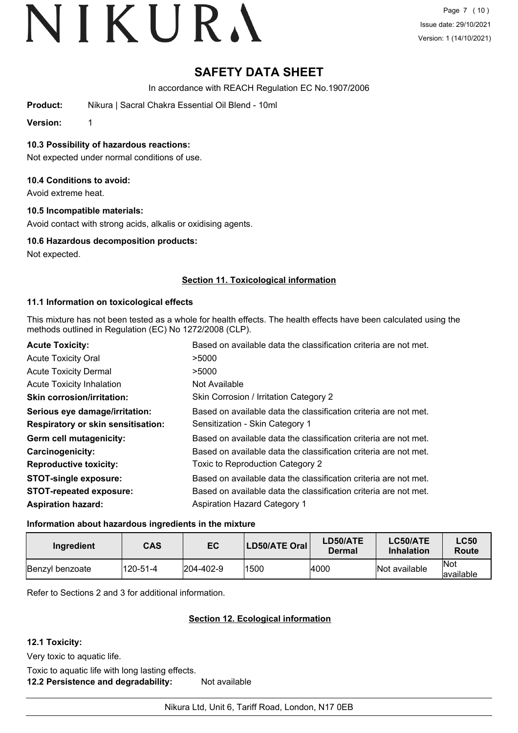# **SAFETY DATA SHEET**

In accordance with REACH Regulation EC No.1907/2006

**Product:** Nikura | Sacral Chakra Essential Oil Blend - 10ml

**Version:** 1

**10.3 Possibility of hazardous reactions:**

Not expected under normal conditions of use.

# **10.4 Conditions to avoid:**

Avoid extreme heat.

# **10.5 Incompatible materials:**

Avoid contact with strong acids, alkalis or oxidising agents.

# **10.6 Hazardous decomposition products:**

Not expected.

# **Section 11. Toxicological information**

# **11.1 Information on toxicological effects**

This mixture has not been tested as a whole for health effects. The health effects have been calculated using the methods outlined in Regulation (EC) No 1272/2008 (CLP).

| <b>Acute Toxicity:</b>                    | Based on available data the classification criteria are not met. |
|-------------------------------------------|------------------------------------------------------------------|
| <b>Acute Toxicity Oral</b>                | >5000                                                            |
| <b>Acute Toxicity Dermal</b>              | >5000                                                            |
| <b>Acute Toxicity Inhalation</b>          | Not Available                                                    |
| <b>Skin corrosion/irritation:</b>         | Skin Corrosion / Irritation Category 2                           |
| Serious eye damage/irritation:            | Based on available data the classification criteria are not met. |
| <b>Respiratory or skin sensitisation:</b> | Sensitization - Skin Category 1                                  |
| Germ cell mutagenicity:                   | Based on available data the classification criteria are not met. |
| <b>Carcinogenicity:</b>                   | Based on available data the classification criteria are not met. |
| <b>Reproductive toxicity:</b>             | Toxic to Reproduction Category 2                                 |
| <b>STOT-single exposure:</b>              | Based on available data the classification criteria are not met. |
| <b>STOT-repeated exposure:</b>            | Based on available data the classification criteria are not met. |
| <b>Aspiration hazard:</b>                 | <b>Aspiration Hazard Category 1</b>                              |

# **Information about hazardous ingredients in the mixture**

| Ingredient      | <b>CAS</b> | EC                | LD50/ATE Oral | <b>LD50/ATE</b><br>Dermal | <b>LC50/ATE</b><br><b>Inhalation</b> | <b>LC50</b><br>Route |
|-----------------|------------|-------------------|---------------|---------------------------|--------------------------------------|----------------------|
| Benzyl benzoate | 120-51-4   | $ 204 - 402 - 9 $ | 1500          | 4000                      | Not available                        | lNot<br>lavailable   |

Refer to Sections 2 and 3 for additional information.

# **Section 12. Ecological information**

# **12.1 Toxicity:**

Very toxic to aquatic life.

Toxic to aquatic life with long lasting effects. **12.2 Persistence and degradability:** Not available

Nikura Ltd, Unit 6, Tariff Road, London, N17 0EB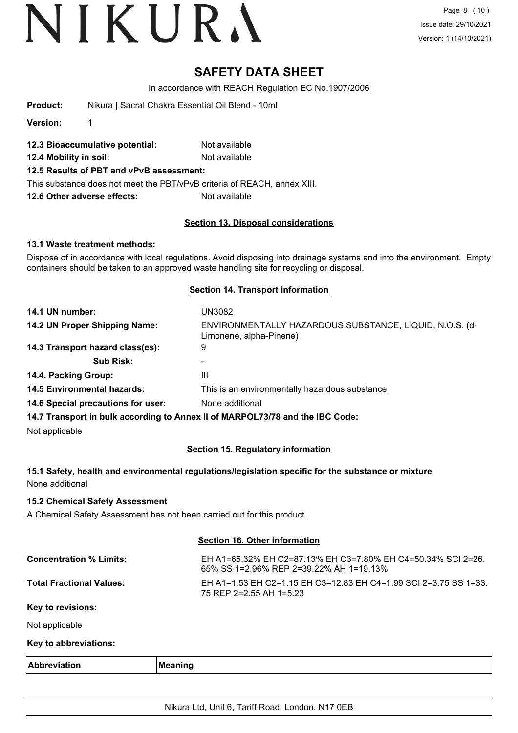# **SAFETY DATA SHEET**

In accordance with REACH Regulation EC No.1907/2006

**Version:** 1

- **12.3 Bioaccumulative potential:** Not available
- **12.4 Mobility in soil:** Not available
- **12.5 Results of PBT and vPvB assessment:**

This substance does not meet the PBT/vPvB criteria of REACH, annex XIII.

**12.6 Other adverse effects:** Not available

# **Section 13. Disposal considerations**

# **13.1 Waste treatment methods:**

Dispose of in accordance with local regulations. Avoid disposing into drainage systems and into the environment. Empty containers should be taken to an approved waste handling site for recycling or disposal.

### **Section 14. Transport information**

| 14.1 UN number:                    | UN3082                                                                             |
|------------------------------------|------------------------------------------------------------------------------------|
| 14.2 UN Proper Shipping Name:      | ENVIRONMENTALLY HAZARDOUS SUBSTANCE, LIQUID, N.O.S. (d-<br>Limonene, alpha-Pinene) |
| 14.3 Transport hazard class(es):   | 9                                                                                  |
| <b>Sub Risk:</b>                   |                                                                                    |
| 14.4. Packing Group:               | Ш                                                                                  |
| <b>14.5 Environmental hazards:</b> | This is an environmentally hazardous substance.                                    |
| 14.6 Special precautions for user: | None additional                                                                    |
|                                    |                                                                                    |

**14.7 Transport in bulk according to Annex II of MARPOL73/78 and the IBC Code:**

Not applicable

# **Section 15. Regulatory information**

# **15.1 Safety, health and environmental regulations/legislation specific for the substance or mixture** None additional

# **15.2 Chemical Safety Assessment**

A Chemical Safety Assessment has not been carried out for this product.

# **Section 16. Other information**

| <b>Concentration % Limits:</b>  | EH A1=65.32% EH C2=87.13% EH C3=7.80% EH C4=50.34% SCI 2=26.<br>65% SS 1=2.96% REP 2=39.22% AH 1=19.13% |
|---------------------------------|---------------------------------------------------------------------------------------------------------|
| <b>Total Fractional Values:</b> | EH A1=1.53 EH C2=1.15 EH C3=12.83 EH C4=1.99 SCI 2=3.75 SS 1=33.<br>75 REP 2=2.55 AH 1=5.23             |
| Key to revisions:               |                                                                                                         |

Not applicable

# **Key to abbreviations:**

| <b>Abbreviance</b> | <br>M<br>mmo<br>------- |
|--------------------|-------------------------|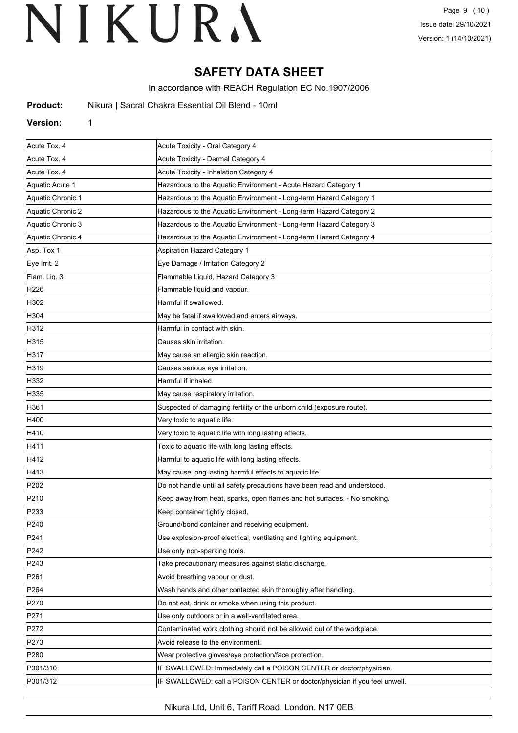# **SAFETY DATA SHEET**

In accordance with REACH Regulation EC No.1907/2006

| Product: | Nikura   Sacral Chakra Essential Oil Blend - 10ml |  |
|----------|---------------------------------------------------|--|
|----------|---------------------------------------------------|--|

### **Version:** 1

| Acute Tox. 4      | Acute Toxicity - Oral Category 4                                           |  |
|-------------------|----------------------------------------------------------------------------|--|
| Acute Tox. 4      | Acute Toxicity - Dermal Category 4                                         |  |
| Acute Tox. 4      | Acute Toxicity - Inhalation Category 4                                     |  |
| Aquatic Acute 1   | Hazardous to the Aquatic Environment - Acute Hazard Category 1             |  |
| Aquatic Chronic 1 | Hazardous to the Aquatic Environment - Long-term Hazard Category 1         |  |
| Aquatic Chronic 2 | Hazardous to the Aquatic Environment - Long-term Hazard Category 2         |  |
| Aquatic Chronic 3 | Hazardous to the Aquatic Environment - Long-term Hazard Category 3         |  |
| Aquatic Chronic 4 | Hazardous to the Aquatic Environment - Long-term Hazard Category 4         |  |
| Asp. Tox 1        | Aspiration Hazard Category 1                                               |  |
| Eye Irrit. 2      | Eye Damage / Irritation Category 2                                         |  |
| Flam. Liq. 3      | Flammable Liquid, Hazard Category 3                                        |  |
| H226              | Flammable liquid and vapour.                                               |  |
| H302              | Harmful if swallowed.                                                      |  |
| H304              | May be fatal if swallowed and enters airways.                              |  |
| H312              | Harmful in contact with skin.                                              |  |
| H315              | Causes skin irritation.                                                    |  |
| H317              | May cause an allergic skin reaction.                                       |  |
| H319              | Causes serious eye irritation.                                             |  |
| H332              | Harmful if inhaled.                                                        |  |
| H335              | May cause respiratory irritation.                                          |  |
| H361              | Suspected of damaging fertility or the unborn child (exposure route).      |  |
| H400              | Very toxic to aquatic life.                                                |  |
| H410              | Very toxic to aquatic life with long lasting effects.                      |  |
| H411              | Toxic to aquatic life with long lasting effects.                           |  |
| H412              | Harmful to aquatic life with long lasting effects.                         |  |
| H413              | May cause long lasting harmful effects to aquatic life.                    |  |
| P202              | Do not handle until all safety precautions have been read and understood.  |  |
| P210              | Keep away from heat, sparks, open flames and hot surfaces. - No smoking.   |  |
| P233              | Keep container tightly closed.                                             |  |
| P240              | Ground/bond container and receiving equipment.                             |  |
| P241              | Use explosion-proof electrical, ventilating and lighting equipment.        |  |
| P242              | Use only non-sparking tools.                                               |  |
| P243              | Take precautionary measures against static discharge.                      |  |
| P261              | Avoid breathing vapour or dust.                                            |  |
| P264              | Wash hands and other contacted skin thoroughly after handling.             |  |
| P270              | Do not eat, drink or smoke when using this product.                        |  |
| P271              | Use only outdoors or in a well-ventilated area.                            |  |
| P272              | Contaminated work clothing should not be allowed out of the workplace.     |  |
| P273              | Avoid release to the environment.                                          |  |
| P <sub>280</sub>  | Wear protective gloves/eye protection/face protection.                     |  |
| P301/310          | IF SWALLOWED: Immediately call a POISON CENTER or doctor/physician.        |  |
| P301/312          | IF SWALLOWED: call a POISON CENTER or doctor/physician if you feel unwell. |  |

Nikura Ltd, Unit 6, Tariff Road, London, N17 0EB